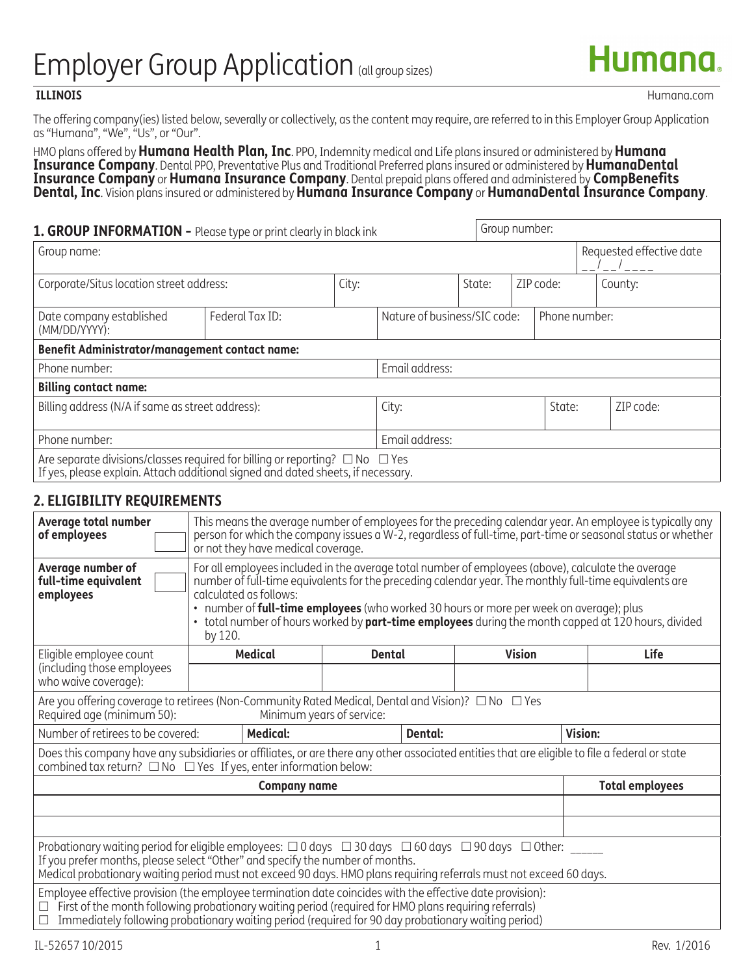# Employer Group Application (all group sizes)

 **ILLINOIS** Humana.com

The offering company(ies) listed below, severally or collectively, as the content may require, are referred to in this Employer Group Application as "Humana", "We", "Us", or "Our".

HMO plans offered by **Humana Health Plan, Inc**. PPO, Indemnity medical and Life plans insured or administered by **Humana Insurance Company**. Dental PPO, Preventative Plus and Traditional Preferred plans insured or administered by **HumanaDental Insurance Company** or **Humana Insurance Company**. Dental prepaid plans offered and administered by **CompBenefits**<br>**Dental, Inc**. Vision plans insured or administered by **Humana Insurance Company** or **HumanaDental Insuranc** 

| 1. GROUP INFORMATION - Please type or print clearly in black ink                                                                                                           |                 |                              |       |        |           | Group number: |  |                          |  |  |
|----------------------------------------------------------------------------------------------------------------------------------------------------------------------------|-----------------|------------------------------|-------|--------|-----------|---------------|--|--------------------------|--|--|
| Group name:                                                                                                                                                                |                 |                              |       |        |           |               |  | Requested effective date |  |  |
| Corporate/Situs location street address:<br>City:                                                                                                                          |                 |                              |       | State: | 7IP code: |               |  | County:                  |  |  |
| Date company established<br>(MM/DD/YYYY):                                                                                                                                  | Federal Tax ID: | Nature of business/SIC code: |       |        |           |               |  | Phone number:            |  |  |
| <b>Benefit Administrator/management contact name:</b>                                                                                                                      |                 |                              |       |        |           |               |  |                          |  |  |
| Email address:<br>Phone number:                                                                                                                                            |                 |                              |       |        |           |               |  |                          |  |  |
| <b>Billing contact name:</b>                                                                                                                                               |                 |                              |       |        |           |               |  |                          |  |  |
| Billing address (N/A if same as street address):                                                                                                                           |                 |                              | City: |        |           | State:        |  | ZIP code:                |  |  |
| Phone number:                                                                                                                                                              | Email address:  |                              |       |        |           |               |  |                          |  |  |
| Are separate divisions/classes required for billing or reporting? $\Box$ No $\Box$ Yes<br>If yes, please explain. Attach additional signed and dated sheets, if necessary. |                 |                              |       |        |           |               |  |                          |  |  |

# **2. ELIGIBILITY REQUIREMENTS**

| Average total number<br>of employees                                                                                                                                                                                                                                                                                                       |                                                                                                                                                                                                                                                                                                                                                                                                                                                            | This means the average number of employees for the preceding calendar year. An employee is typically any<br>person for which the company issues a W-2, regardless of full-time, part-time or seasonal status or whether<br>or not they have medical coverage. |  |         |  |                |  |  |  |
|--------------------------------------------------------------------------------------------------------------------------------------------------------------------------------------------------------------------------------------------------------------------------------------------------------------------------------------------|------------------------------------------------------------------------------------------------------------------------------------------------------------------------------------------------------------------------------------------------------------------------------------------------------------------------------------------------------------------------------------------------------------------------------------------------------------|---------------------------------------------------------------------------------------------------------------------------------------------------------------------------------------------------------------------------------------------------------------|--|---------|--|----------------|--|--|--|
| Average number of<br>full-time equivalent<br>employees                                                                                                                                                                                                                                                                                     | For all employees included in the average total number of employees (above), calculate the average<br>number of full-time equivalents for the preceding calendar year. The monthly full-time equivalents are<br>calculated as follows:<br>• number of <b>full-time employees</b> (who worked 30 hours or more per week on average); plus<br>• total number of hours worked by part-time employees during the month capped at 120 hours, divided<br>by 120. |                                                                                                                                                                                                                                                               |  |         |  |                |  |  |  |
| Eligible employee count<br>(including those employees<br>who waive coverage):                                                                                                                                                                                                                                                              |                                                                                                                                                                                                                                                                                                                                                                                                                                                            | <b>Medical</b><br><b>Vision</b><br>Life<br>Dental                                                                                                                                                                                                             |  |         |  |                |  |  |  |
| Are you offering coverage to retirees (Non-Community Rated Medical, Dental and Vision)? $\Box$ No $\Box$ Yes<br>Required age (minimum 50):<br>Minimum years of service:                                                                                                                                                                    |                                                                                                                                                                                                                                                                                                                                                                                                                                                            |                                                                                                                                                                                                                                                               |  |         |  |                |  |  |  |
| Number of retirees to be covered:                                                                                                                                                                                                                                                                                                          |                                                                                                                                                                                                                                                                                                                                                                                                                                                            | <b>Medical:</b>                                                                                                                                                                                                                                               |  | Dental: |  | <b>Vision:</b> |  |  |  |
| Does this company have any subsidiaries or affiliates, or are there any other associated entities that are eligible to file a federal or state<br>combined tax return? $\Box$ No $\Box$ Yes If yes, enter information below:                                                                                                               |                                                                                                                                                                                                                                                                                                                                                                                                                                                            |                                                                                                                                                                                                                                                               |  |         |  |                |  |  |  |
| <b>Total employees</b><br><b>Company name</b>                                                                                                                                                                                                                                                                                              |                                                                                                                                                                                                                                                                                                                                                                                                                                                            |                                                                                                                                                                                                                                                               |  |         |  |                |  |  |  |
|                                                                                                                                                                                                                                                                                                                                            |                                                                                                                                                                                                                                                                                                                                                                                                                                                            |                                                                                                                                                                                                                                                               |  |         |  |                |  |  |  |
|                                                                                                                                                                                                                                                                                                                                            |                                                                                                                                                                                                                                                                                                                                                                                                                                                            |                                                                                                                                                                                                                                                               |  |         |  |                |  |  |  |
| Probationary waiting period for eligible employees: $\Box$ 0 days $\Box$ 30 days $\Box$ 60 days $\Box$ 90 days $\Box$ Other: _____<br>If you prefer months, please select "Other" and specify the number of months.<br>Medical probationary waiting period must not exceed 90 days. HMO plans requiring referrals must not exceed 60 days. |                                                                                                                                                                                                                                                                                                                                                                                                                                                            |                                                                                                                                                                                                                                                               |  |         |  |                |  |  |  |
| Employee effective provision (the employee termination date coincides with the effective date provision):<br>First of the month following probationary waiting period (required for HMO plans requiring referrals)<br>Immediately following probationary waiting period (required for 90 day probationary waiting period)<br>$\Box$        |                                                                                                                                                                                                                                                                                                                                                                                                                                                            |                                                                                                                                                                                                                                                               |  |         |  |                |  |  |  |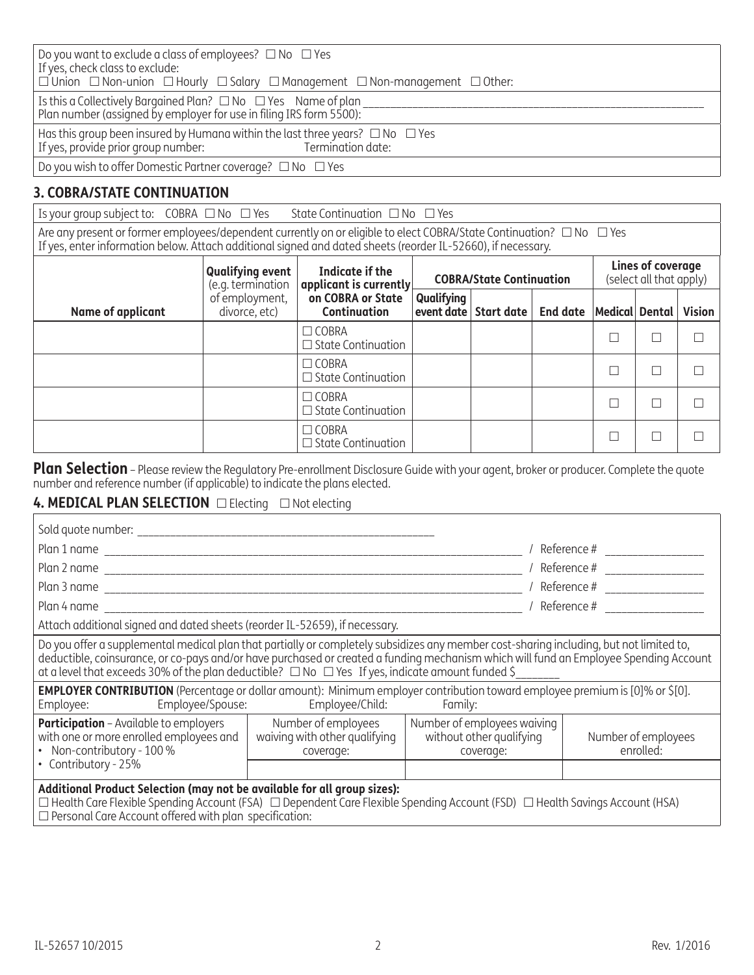| Do you want to exclude a class of employees? $\Box$ No $\Box$ Yes<br>If yes, check class to exclude:<br>$\Box$ Union $\Box$ Non-union $\Box$ Hourly $\Box$ Salary $\Box$ Management $\Box$ Non-management $\Box$ Other: |  |  |  |  |  |
|-------------------------------------------------------------------------------------------------------------------------------------------------------------------------------------------------------------------------|--|--|--|--|--|
| Is this a Collectively Bargained Plan? $\Box$ No $\Box$ Yes Name of plan<br>Plan number (assigned by employer for use in filing IRS form 5500):                                                                         |  |  |  |  |  |
| Has this group been insured by Humana within the last three years? $\Box$ No $\Box$ Yes<br>If yes, provide prior group number: Termination date:                                                                        |  |  |  |  |  |
| Do you wish to offer Domestic Partner coverage? $\Box$ No $\Box$ Yes                                                                                                                                                    |  |  |  |  |  |

# **3. COBRA/STATE CONTINUATION**

Is your group subject to:  $COBRA \Box No \Box Yes$  State Continuation  $\Box No \Box Yes$ 

Are any present or former employees/dependent currently on or eligible to elect COBRA/State Continuation?  $\Box$  No  $\ \Box$  Yes If yes, enter information below. Attach additional signed and dated sheets (reorder IL-52660), if necessary.

|                   | <b>Qualifying event</b><br>(e.g. termination | Indicate if the<br>applicant is currently | <b>COBRA/State Continuation</b> |                       |                 | Lines of coverage<br>(select all that apply) |        |               |
|-------------------|----------------------------------------------|-------------------------------------------|---------------------------------|-----------------------|-----------------|----------------------------------------------|--------|---------------|
| Name of applicant | of employment,<br>divorce, etc)              | on COBRA or State<br><b>Continuation</b>  | Qualifying                      | event date Start date | <b>End date</b> | Medical Dental                               |        | <b>Vision</b> |
|                   |                                              | $\Box$ COBRA<br>$\Box$ State Continuation |                                 |                       |                 |                                              | $\Box$ |               |
|                   |                                              | $\Box$ COBRA<br>$\Box$ State Continuation |                                 |                       |                 |                                              | П      |               |
|                   |                                              | $\Box$ COBRA<br>$\Box$ State Continuation |                                 |                       |                 |                                              | П      |               |
|                   |                                              | $\Box$ COBRA<br>$\Box$ State Continuation |                                 |                       |                 |                                              |        |               |

**Plan Selection** – Please review the Regulatory Pre-enrollment Disclosure Guide with your agent, broker or producer. Complete the quote number and reference number (if applicable) to indicate the plans elected.

# 4. MEDICAL PLAN SELECTION  $\Box$  Electing  $\Box$  Not electing

| Sold quote number:                                                                                                                                                                                                                                                                                                                                                                             |                                                                      |                                  |                                |  |  |  |  |  |
|------------------------------------------------------------------------------------------------------------------------------------------------------------------------------------------------------------------------------------------------------------------------------------------------------------------------------------------------------------------------------------------------|----------------------------------------------------------------------|----------------------------------|--------------------------------|--|--|--|--|--|
|                                                                                                                                                                                                                                                                                                                                                                                                |                                                                      | / Reference # _______________    |                                |  |  |  |  |  |
|                                                                                                                                                                                                                                                                                                                                                                                                |                                                                      |                                  |                                |  |  |  |  |  |
|                                                                                                                                                                                                                                                                                                                                                                                                |                                                                      |                                  | / Reference # ________________ |  |  |  |  |  |
| Plan 4 name                                                                                                                                                                                                                                                                                                                                                                                    |                                                                      |                                  | / Reference #                  |  |  |  |  |  |
| Attach additional signed and dated sheets (reorder IL-52659), if necessary.                                                                                                                                                                                                                                                                                                                    |                                                                      |                                  |                                |  |  |  |  |  |
| Do you offer a supplemental medical plan that partially or completely subsidizes any member cost-sharing including, but not limited to,<br>deductible, coinsurance, or co-pays and/or have purchased or created a funding mechanism which will fund an Employee Spending Account<br>at a level that exceeds 30% of the plan deductible? $\Box$ No $\Box$ Yes If yes, indicate amount funded \$ |                                                                      |                                  |                                |  |  |  |  |  |
| <b>EMPLOYER CONTRIBUTION</b> (Percentage or dollar amount): Minimum employer contribution toward employee premium is [0]% or \$[0].<br>Employee/Spouse:<br>Employee/Child: Family:<br>Employee:                                                                                                                                                                                                |                                                                      |                                  |                                |  |  |  |  |  |
| <b>Participation</b> - Available to employers<br>with one or more enrolled employees and<br>• Non-contributory - 100 %                                                                                                                                                                                                                                                                         | Number of employees waiving<br>without other qualifying<br>coverage: | Number of employees<br>enrolled: |                                |  |  |  |  |  |
| • Contributory - 25%                                                                                                                                                                                                                                                                                                                                                                           |                                                                      |                                  |                                |  |  |  |  |  |
| Additional Product Selection (may not be available for all group sizes):<br>$\Box$ Health Care Flexible Spending Account (FSA) $\Box$ Dependent Care Flexible Spending Account (FSD) $\Box$ Health Savings Account (HSA)<br>$\Box$ Personal Care Account offered with plan specification:                                                                                                      |                                                                      |                                  |                                |  |  |  |  |  |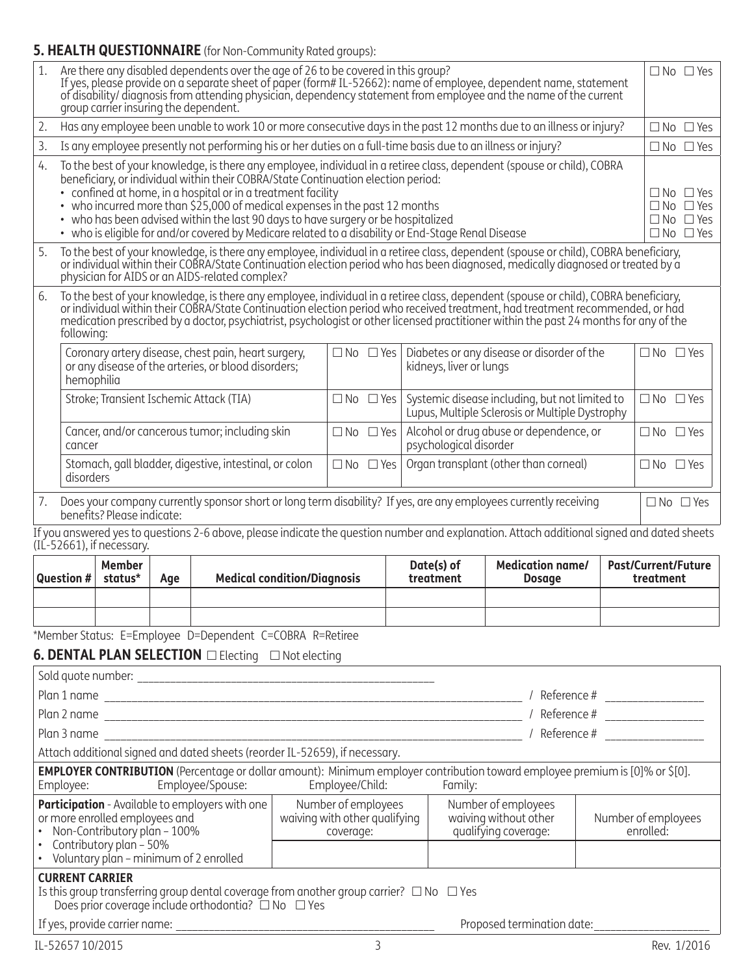# **5. HEALTH QUESTIONNAIRE** (for Non-Community Rated groups):

| 1.                                                                                                                                                                                                                                                                                          | Are there any disabled dependents over the age of 26 to be covered in this group?<br>If yes, please provide on a separate sheet of paper (form#IL-52662): name of employee, dependent name, statement<br>of disability/diagnosis from attending physician, dependency statement from employee and the name of the current<br>group carrier insuring the dependent.                                                                                                                                                                                            |                            |     |                                                                                                                                                                    |  |                      |                            |                         |                                                                                                                                                                                                                                                                                                                                                                         | $\Box$ No $\Box$ Yes |                                                                                              |                            |
|---------------------------------------------------------------------------------------------------------------------------------------------------------------------------------------------------------------------------------------------------------------------------------------------|---------------------------------------------------------------------------------------------------------------------------------------------------------------------------------------------------------------------------------------------------------------------------------------------------------------------------------------------------------------------------------------------------------------------------------------------------------------------------------------------------------------------------------------------------------------|----------------------------|-----|--------------------------------------------------------------------------------------------------------------------------------------------------------------------|--|----------------------|----------------------------|-------------------------|-------------------------------------------------------------------------------------------------------------------------------------------------------------------------------------------------------------------------------------------------------------------------------------------------------------------------------------------------------------------------|----------------------|----------------------------------------------------------------------------------------------|----------------------------|
| Has any employee been unable to work 10 or more consecutive days in the past 12 months due to an illness or injury?<br>2.                                                                                                                                                                   |                                                                                                                                                                                                                                                                                                                                                                                                                                                                                                                                                               |                            |     |                                                                                                                                                                    |  |                      |                            |                         |                                                                                                                                                                                                                                                                                                                                                                         | $\Box$ No $\Box$ Yes |                                                                                              |                            |
| 3.                                                                                                                                                                                                                                                                                          | Is any employee presently not performing his or her duties on a full-time basis due to an illness or injury?                                                                                                                                                                                                                                                                                                                                                                                                                                                  |                            |     |                                                                                                                                                                    |  |                      |                            |                         | $\Box$ No $\Box$ Yes                                                                                                                                                                                                                                                                                                                                                    |                      |                                                                                              |                            |
|                                                                                                                                                                                                                                                                                             | To the best of your knowledge, is there any employee, individual in a retiree class, dependent (spouse or child), COBRA<br>4.<br>beneficiary, or individual within their COBRA/State Continuation election period:<br>• confined at home, in a hospital or in a treatment facility<br>• who incurred more than \$25,000 of medical expenses in the past 12 months<br>• who has been advised within the last 90 days to have surgery or be hospitalized<br>• who is eligible for and/or covered by Medicare related to a disability or End-Stage Renal Disease |                            |     |                                                                                                                                                                    |  |                      |                            |                         |                                                                                                                                                                                                                                                                                                                                                                         |                      | $\Box$ No $\Box$ Yes<br>$\Box$ No $\Box$ Yes<br>$\Box$ No $\Box$ Yes<br>$\Box$ No $\Box$ Yes |                            |
| 5.                                                                                                                                                                                                                                                                                          |                                                                                                                                                                                                                                                                                                                                                                                                                                                                                                                                                               |                            |     | physician for AIDS or an AIDS-related complex?                                                                                                                     |  |                      |                            |                         | To the best of your knowledge, is there any employee, individual in a retiree class, dependent (spouse or child), COBRA beneficiary,<br>or individual within their COBRA/State Continuation election period who has been diagnosed, medically diagnosed or treated by a                                                                                                 |                      |                                                                                              |                            |
| 6.                                                                                                                                                                                                                                                                                          | following:                                                                                                                                                                                                                                                                                                                                                                                                                                                                                                                                                    |                            |     |                                                                                                                                                                    |  |                      |                            |                         | To the best of your knowledge, is there any employee, individual in a retiree class, dependent (spouse or child), COBRA beneficiary, or individual within their COBRA/State Continuation election period who received treatmen<br>medication prescribed by a doctor, psychiatrist, psychologist or other licensed practitioner within the past 24 months for any of the |                      |                                                                                              |                            |
|                                                                                                                                                                                                                                                                                             | $\Box$ No $\Box$ Yes<br>Coronary artery disease, chest pain, heart surgery,<br>Diabetes or any disease or disorder of the<br>or any disease of the arteries, or blood disorders;<br>kidneys, liver or lungs<br>hemophilia                                                                                                                                                                                                                                                                                                                                     |                            |     |                                                                                                                                                                    |  |                      |                            | $\Box$ No $\Box$ Yes    |                                                                                                                                                                                                                                                                                                                                                                         |                      |                                                                                              |                            |
|                                                                                                                                                                                                                                                                                             |                                                                                                                                                                                                                                                                                                                                                                                                                                                                                                                                                               |                            |     | Stroke; Transient Ischemic Attack (TIA)                                                                                                                            |  | $\Box$ No $\Box$ Yes |                            |                         | Systemic disease including, but not limited to<br>Lupus, Multiple Sclerosis or Multiple Dystrophy                                                                                                                                                                                                                                                                       |                      | $\square$ No $\square$ Yes                                                                   |                            |
|                                                                                                                                                                                                                                                                                             | Cancer, and/or cancerous tumor; including skin<br>Alcohol or drug abuse or dependence, or<br>$\Box$ No $\Box$ Yes<br>psychological disorder<br>cancer                                                                                                                                                                                                                                                                                                                                                                                                         |                            |     |                                                                                                                                                                    |  |                      | $\square$ No $\square$ Yes |                         |                                                                                                                                                                                                                                                                                                                                                                         |                      |                                                                                              |                            |
|                                                                                                                                                                                                                                                                                             | Stomach, gall bladder, digestive, intestinal, or colon<br>$\Box$ No $\Box$ Yes<br>Organ transplant (other than corneal)<br>disorders                                                                                                                                                                                                                                                                                                                                                                                                                          |                            |     |                                                                                                                                                                    |  |                      | $\square$ No $\square$ Yes |                         |                                                                                                                                                                                                                                                                                                                                                                         |                      |                                                                                              |                            |
| 7.                                                                                                                                                                                                                                                                                          |                                                                                                                                                                                                                                                                                                                                                                                                                                                                                                                                                               | benefits? Please indicate: |     |                                                                                                                                                                    |  |                      |                            |                         | Does your company currently sponsor short or long term disability? If yes, are any employees currently receiving                                                                                                                                                                                                                                                        |                      |                                                                                              | $\Box$ No $\Box$ Yes       |
|                                                                                                                                                                                                                                                                                             |                                                                                                                                                                                                                                                                                                                                                                                                                                                                                                                                                               | (IL-52661), if necessary.  |     |                                                                                                                                                                    |  |                      |                            |                         | If you answered yes to questions 2-6 above, please indicate the question number and explanation. Attach additional signed and dated sheets                                                                                                                                                                                                                              |                      |                                                                                              |                            |
|                                                                                                                                                                                                                                                                                             | <b>Question #</b>                                                                                                                                                                                                                                                                                                                                                                                                                                                                                                                                             | <b>Member</b><br>status*   | Age | <b>Medical condition/Diagnosis</b>                                                                                                                                 |  |                      |                            | Date(s) of<br>treatment | <b>Medication name/</b><br><b>Dosage</b>                                                                                                                                                                                                                                                                                                                                |                      | treatment                                                                                    | <b>Past/Current/Future</b> |
|                                                                                                                                                                                                                                                                                             |                                                                                                                                                                                                                                                                                                                                                                                                                                                                                                                                                               |                            |     |                                                                                                                                                                    |  |                      |                            |                         |                                                                                                                                                                                                                                                                                                                                                                         |                      |                                                                                              |                            |
|                                                                                                                                                                                                                                                                                             |                                                                                                                                                                                                                                                                                                                                                                                                                                                                                                                                                               |                            |     | *Member Status: E=Employee D=Dependent C=COBRA R=Retiree                                                                                                           |  |                      |                            |                         |                                                                                                                                                                                                                                                                                                                                                                         |                      |                                                                                              |                            |
|                                                                                                                                                                                                                                                                                             |                                                                                                                                                                                                                                                                                                                                                                                                                                                                                                                                                               |                            |     |                                                                                                                                                                    |  |                      |                            |                         |                                                                                                                                                                                                                                                                                                                                                                         |                      |                                                                                              |                            |
|                                                                                                                                                                                                                                                                                             |                                                                                                                                                                                                                                                                                                                                                                                                                                                                                                                                                               |                            |     |                                                                                                                                                                    |  |                      |                            |                         |                                                                                                                                                                                                                                                                                                                                                                         |                      |                                                                                              |                            |
|                                                                                                                                                                                                                                                                                             |                                                                                                                                                                                                                                                                                                                                                                                                                                                                                                                                                               |                            |     |                                                                                                                                                                    |  |                      |                            |                         |                                                                                                                                                                                                                                                                                                                                                                         |                      |                                                                                              |                            |
|                                                                                                                                                                                                                                                                                             |                                                                                                                                                                                                                                                                                                                                                                                                                                                                                                                                                               |                            |     |                                                                                                                                                                    |  |                      |                            |                         |                                                                                                                                                                                                                                                                                                                                                                         |                      |                                                                                              |                            |
|                                                                                                                                                                                                                                                                                             |                                                                                                                                                                                                                                                                                                                                                                                                                                                                                                                                                               |                            |     |                                                                                                                                                                    |  |                      |                            |                         |                                                                                                                                                                                                                                                                                                                                                                         |                      |                                                                                              |                            |
|                                                                                                                                                                                                                                                                                             |                                                                                                                                                                                                                                                                                                                                                                                                                                                                                                                                                               |                            |     | Attach additional signed and dated sheets (reorder IL-52659), if necessary.                                                                                        |  |                      |                            |                         |                                                                                                                                                                                                                                                                                                                                                                         |                      |                                                                                              |                            |
|                                                                                                                                                                                                                                                                                             | Employee:                                                                                                                                                                                                                                                                                                                                                                                                                                                                                                                                                     |                            |     | Employee/Spouse:                                                                                                                                                   |  | Employee/Child:      |                            | Family:                 | <b>EMPLOYER CONTRIBUTION</b> (Percentage or dollar amount): Minimum employer contribution toward employee premium is [0]% or \$[0].                                                                                                                                                                                                                                     |                      |                                                                                              |                            |
| Participation - Available to employers with one<br>Number of employees<br>Number of employees<br>waiving with other qualifying<br>waiving without other<br>or more enrolled employees and<br>Non-Contributory plan - 100%<br>qualifying coverage:<br>coverage:<br>• Contributory plan - 50% |                                                                                                                                                                                                                                                                                                                                                                                                                                                                                                                                                               |                            |     |                                                                                                                                                                    |  |                      | Number of employees        | enrolled:               |                                                                                                                                                                                                                                                                                                                                                                         |                      |                                                                                              |                            |
|                                                                                                                                                                                                                                                                                             |                                                                                                                                                                                                                                                                                                                                                                                                                                                                                                                                                               |                            |     | • Voluntary plan - minimum of 2 enrolled                                                                                                                           |  |                      |                            |                         |                                                                                                                                                                                                                                                                                                                                                                         |                      |                                                                                              |                            |
|                                                                                                                                                                                                                                                                                             | <b>CURRENT CARRIER</b>                                                                                                                                                                                                                                                                                                                                                                                                                                                                                                                                        |                            |     | Is this group transferring group dental coverage from another group carrier? $\Box$ No $\Box$ Yes<br>Does prior coverage include orthodontia? $\Box$ No $\Box$ Yes |  |                      |                            |                         |                                                                                                                                                                                                                                                                                                                                                                         |                      |                                                                                              |                            |
|                                                                                                                                                                                                                                                                                             |                                                                                                                                                                                                                                                                                                                                                                                                                                                                                                                                                               |                            |     |                                                                                                                                                                    |  |                      |                            |                         | Proposed termination date:                                                                                                                                                                                                                                                                                                                                              |                      |                                                                                              |                            |
|                                                                                                                                                                                                                                                                                             | IL-52657 10/2015                                                                                                                                                                                                                                                                                                                                                                                                                                                                                                                                              |                            |     |                                                                                                                                                                    |  | 3                    |                            |                         |                                                                                                                                                                                                                                                                                                                                                                         |                      |                                                                                              | Rev. 1/2016                |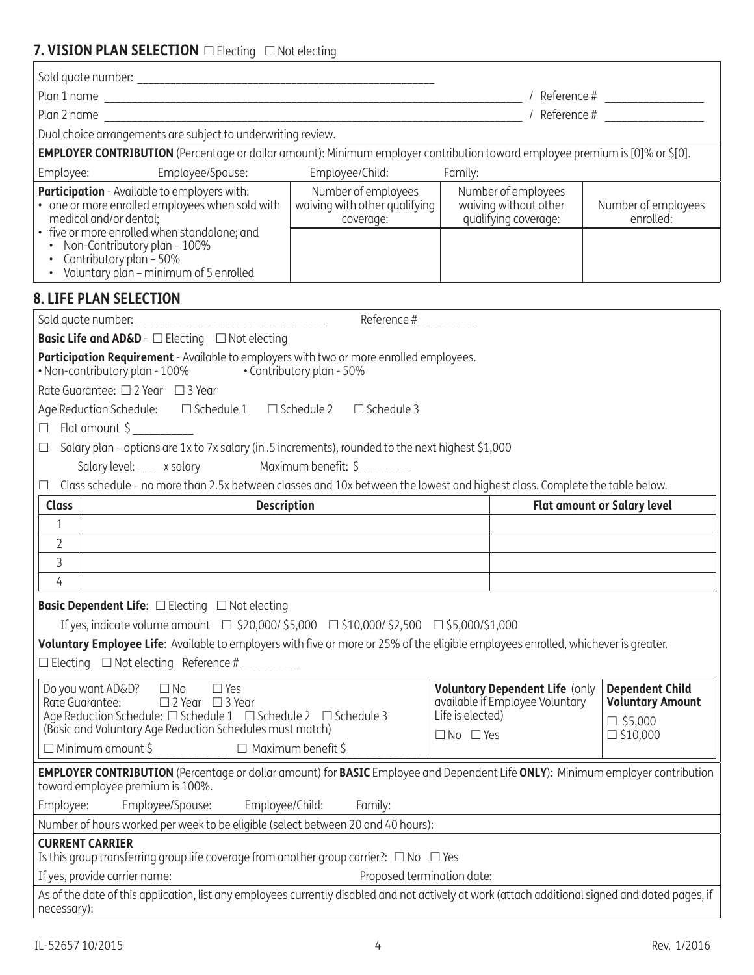# **7 VISION PLAN SELECTION Electing** ENot electing

| <b>7. VISION FLAN SELLCTION</b> LEGGOING LENOL GIGCUING                                                                                                                                                                                                                                                                                                                                                                                                                                                   |                                                                                                                                           |         |  |  |  |  |  |  |
|-----------------------------------------------------------------------------------------------------------------------------------------------------------------------------------------------------------------------------------------------------------------------------------------------------------------------------------------------------------------------------------------------------------------------------------------------------------------------------------------------------------|-------------------------------------------------------------------------------------------------------------------------------------------|---------|--|--|--|--|--|--|
|                                                                                                                                                                                                                                                                                                                                                                                                                                                                                                           |                                                                                                                                           |         |  |  |  |  |  |  |
|                                                                                                                                                                                                                                                                                                                                                                                                                                                                                                           |                                                                                                                                           |         |  |  |  |  |  |  |
|                                                                                                                                                                                                                                                                                                                                                                                                                                                                                                           |                                                                                                                                           |         |  |  |  |  |  |  |
| Dual choice arrangements are subject to underwriting review.                                                                                                                                                                                                                                                                                                                                                                                                                                              |                                                                                                                                           |         |  |  |  |  |  |  |
| EMPLOYER CONTRIBUTION (Percentage or dollar amount): Minimum employer contribution toward employee premium is [0]% or \$[0].                                                                                                                                                                                                                                                                                                                                                                              |                                                                                                                                           |         |  |  |  |  |  |  |
| Employee/Spouse:<br>Employee:                                                                                                                                                                                                                                                                                                                                                                                                                                                                             | Employee/Child:                                                                                                                           | Family: |  |  |  |  |  |  |
| Participation - Available to employers with:<br>• one or more enrolled employees when sold with<br>medical and/or dental;<br>• five or more enrolled when standalone; and<br>• Non-Contributory plan - 100%<br>• Contributory plan - 50%<br>• Voluntary plan - minimum of 5 enrolled                                                                                                                                                                                                                      | Number of employees<br>Number of employees<br>waiving without other<br>waiving with other qualifying<br>qualifying coverage:<br>coverage: |         |  |  |  |  |  |  |
| <b>8. LIFE PLAN SELECTION</b>                                                                                                                                                                                                                                                                                                                                                                                                                                                                             |                                                                                                                                           |         |  |  |  |  |  |  |
|                                                                                                                                                                                                                                                                                                                                                                                                                                                                                                           | Reference #                                                                                                                               |         |  |  |  |  |  |  |
| <b>Basic Life and AD&amp;D</b> - $\Box$ Electing $\Box$ Not electing                                                                                                                                                                                                                                                                                                                                                                                                                                      |                                                                                                                                           |         |  |  |  |  |  |  |
| Participation Requirement - Available to employers with two or more enrolled employees.<br>• Non-contributory plan - 100%<br>• Contributory plan - 50%<br>Rate Guarantee: □ 2 Year □ 3 Year<br>Age Reduction Schedule: □ Schedule 1 □ Schedule 2 □ Schedule 3<br>Flat amount \$<br>$\Box$                                                                                                                                                                                                                 |                                                                                                                                           |         |  |  |  |  |  |  |
| Salary plan - options are 1x to 7x salary (in .5 increments), rounded to the next highest \$1,000<br>$\Box$                                                                                                                                                                                                                                                                                                                                                                                               |                                                                                                                                           |         |  |  |  |  |  |  |
| Salary level: ____ x salary Maximum benefit: \$________                                                                                                                                                                                                                                                                                                                                                                                                                                                   |                                                                                                                                           |         |  |  |  |  |  |  |
| Class schedule - no more than 2.5x between classes and 10x between the lowest and highest class. Complete the table below.<br>$\Box$                                                                                                                                                                                                                                                                                                                                                                      |                                                                                                                                           |         |  |  |  |  |  |  |
| <b>Class</b>                                                                                                                                                                                                                                                                                                                                                                                                                                                                                              | <b>Description</b><br><b>Flat amount or Salary level</b>                                                                                  |         |  |  |  |  |  |  |
| $\mathbf{1}$                                                                                                                                                                                                                                                                                                                                                                                                                                                                                              | the control of the control of the control of the control of the control of the control of                                                 |         |  |  |  |  |  |  |
| $\overline{2}$                                                                                                                                                                                                                                                                                                                                                                                                                                                                                            |                                                                                                                                           |         |  |  |  |  |  |  |
| $\mathfrak{Z}$                                                                                                                                                                                                                                                                                                                                                                                                                                                                                            |                                                                                                                                           |         |  |  |  |  |  |  |
| $\overline{4}$                                                                                                                                                                                                                                                                                                                                                                                                                                                                                            |                                                                                                                                           |         |  |  |  |  |  |  |
| <b>Basic Dependent Life:</b> □ Electing □ Not electing                                                                                                                                                                                                                                                                                                                                                                                                                                                    |                                                                                                                                           |         |  |  |  |  |  |  |
| If yes, indicate volume amount □ \$20,000/\$5,000 □ \$10,000/\$2,500 □ \$5,000/\$1,000                                                                                                                                                                                                                                                                                                                                                                                                                    |                                                                                                                                           |         |  |  |  |  |  |  |
| Voluntary Employee Life: Available to employers with five or more or 25% of the eligible employees enrolled, whichever is greater.<br>$\Box$ Electing $\Box$ Not electing Reference #                                                                                                                                                                                                                                                                                                                     |                                                                                                                                           |         |  |  |  |  |  |  |
| <b>Voluntary Dependent Life (only</b><br><b>Dependent Child</b><br>$\Box$ No<br>Do you want AD&D?<br>$\Box$ Yes<br>available if Employee Voluntary<br>Rate Guarantee:<br>□ 2 Year □ 3 Year<br><b>Voluntary Amount</b><br>Age Reduction Schedule: □ Schedule 1 □ Schedule 2 □ Schedule 3<br>Life is elected)<br>$\square$ \$5,000<br>(Basic and Voluntary Age Reduction Schedules must match)<br>$\square$ No $\square$ Yes<br>$\square$ \$10,000<br>$\Box$ Minimum amount \$<br>$\Box$ Maximum benefit \$ |                                                                                                                                           |         |  |  |  |  |  |  |
|                                                                                                                                                                                                                                                                                                                                                                                                                                                                                                           |                                                                                                                                           |         |  |  |  |  |  |  |
|                                                                                                                                                                                                                                                                                                                                                                                                                                                                                                           |                                                                                                                                           |         |  |  |  |  |  |  |
| <b>EMPLOYER CONTRIBUTION</b> (Percentage or dollar amount) for <b>BASIC</b> Employee and Dependent Life ONLY): Minimum employer contribution<br>toward employee premium is 100%.                                                                                                                                                                                                                                                                                                                          |                                                                                                                                           |         |  |  |  |  |  |  |
| Employee/Spouse:<br>Employee/Child:<br>Employee:                                                                                                                                                                                                                                                                                                                                                                                                                                                          | Family:                                                                                                                                   |         |  |  |  |  |  |  |
| Number of hours worked per week to be eligible (select between 20 and 40 hours):                                                                                                                                                                                                                                                                                                                                                                                                                          |                                                                                                                                           |         |  |  |  |  |  |  |
| <b>CURRENT CARRIER</b>                                                                                                                                                                                                                                                                                                                                                                                                                                                                                    |                                                                                                                                           |         |  |  |  |  |  |  |
| Is this group transferring group life coverage from another group carrier?: $\Box$ No $\Box$ Yes                                                                                                                                                                                                                                                                                                                                                                                                          |                                                                                                                                           |         |  |  |  |  |  |  |
| If yes, provide carrier name:<br>As of the date of this application, list any employees currently disabled and not actively at work (attach additional signed and dated pages, if                                                                                                                                                                                                                                                                                                                         | Proposed termination date:                                                                                                                |         |  |  |  |  |  |  |

necessary):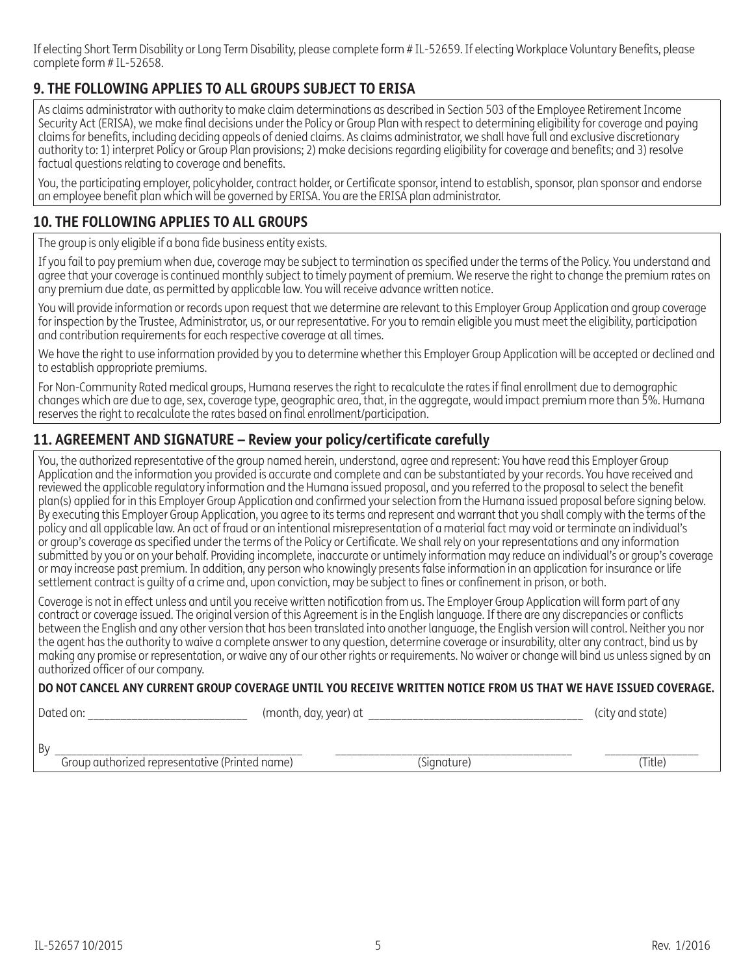If electing Short Term Disability or Long Term Disability, please complete form # IL-52659. If electing Workplace Voluntary Benefits, please complete form # IL-52658.

# **9. THE FOLLOWING APPLIES TO ALL GROUPS SUBJECT TO ERISA**

As claims administrator with authority to make claim determinations as described in Section 503 of the Employee Retirement Income Security Act (ERISA), we make final decisions under the Policy or Group Plan with respect to determining eligibility for coverage and paying claims for benefits, including deciding appeals of denied claims. As claims administrator, we shall have full and exclusive discretionary authority to: 1) interpret Policy or Group Plan provisions; 2) make decisions regarding eligibility for coverage and benefits; and 3) resolve factual questions relating to coverage and benefits.

You, the participating employer, policyholder, contract holder, or Certificate sponsor, intend to establish, sponsor, plan sponsor and endorse an employee benefit plan which will be governed by ERISA. You are the ERISA plan administrator.

## **10. THE FOLLOWING APPLIES TO ALL GROUPS**

The group is only eligible if a bona fide business entity exists.

If you fail to pay premium when due, coverage may be subject to termination as specified under the terms of the Policy. You understand and agree that your coverage is continued monthly subject to timely payment of premium. We reserve the right to change the premium rates on any premium due date, as permitted by applicable law. You will receive advance written notice.

You will provide information or records upon request that we determine are relevant to this Employer Group Application and group coverage for inspection by the Trustee, Administrator, us, or our representative. For you to remain eligible you must meet the eligibility, participation and contribution requirements for each respective coverage at all times.

We have the right to use information provided by you to determine whether this Employer Group Application will be accepted or declined and to establish appropriate premiums.

For Non-Community Rated medical groups, Humana reserves the right to recalculate the rates if final enrollment due to demographic changes which are due to age, sex, coverage type, geographic area, that, in the aggregate, would impact premium more than 5%. Humana reserves the right to recalculate the rates based on final enrollment/participation.

### **11. AGREEMENT AND SIGNATURE – Review your policy/certificate carefully**

You, the authorized representative of the group named herein, understand, agree and represent: You have read this Employer Group Application and the information you provided is accurate and complete and can be substantiated by your records. You have received and reviewed the applicable regulatory information and the Humana issued proposal, and you referred to the proposal to select the benefit plan(s) applied for in this Employer Group Application and confirmed your selection from the Humana issued proposal before signing below. By executing this Employer Group Application, you agree to its terms and represent and warrant that you shall comply with the terms of the policy and all applicable law. An act of fraud or an intentional misrepresentation of a material fact may void or terminate an individual's or group's coverage as specified under the terms of the Policy or Certificate. We shall rely on your representations and any information submitted by you or on your behalf. Providing incomplete, inaccurate or untimely information may reduce an individual's or group's coverage or may increase past premium. In addition, any person who knowingly presents false information in an application for insurance or life settlement contract is guilty of a crime and, upon conviction, may be subject to fines or confinement in prison, or both.

Coverage is not in effect unless and until you receive written notification from us. The Employer Group Application will form part of any contract or coverage issued. The original version of this Agreement is in the English language. If there are any discrepancies or conflicts between the English and any other version that has been translated into another language, the English version will control. Neither you nor the agent has the authority to waive a complete answer to any question, determine coverage or insurability, alter any contract, bind us by making any promise or representation, or waive any of our other rights or requirements. No waiver or change will bind us unless signed by an authorized officer of our company.

#### **DO NOT CANCEL ANY CURRENT GROUP COVERAGE UNTIL YOU RECEIVE WRITTEN NOTICE FROM US THAT WE HAVE ISSUED COVERAGE.**

Dated on: entitled on: the contract of the month, day, year) at  $($ city and state)

By \_\_\_\_\_\_\_\_\_\_\_\_\_\_\_\_\_\_\_\_\_\_\_\_\_\_\_\_\_\_\_\_\_\_\_\_\_\_\_\_\_\_\_\_\_ \_\_\_\_\_\_\_\_\_\_\_\_\_\_\_\_\_\_\_\_\_\_\_\_\_\_\_\_\_\_\_\_\_\_\_\_\_\_\_\_\_\_\_ \_\_\_\_\_\_\_\_\_\_\_\_\_\_\_\_\_ Group authorized representative (Printed name) (Signature) (Title)